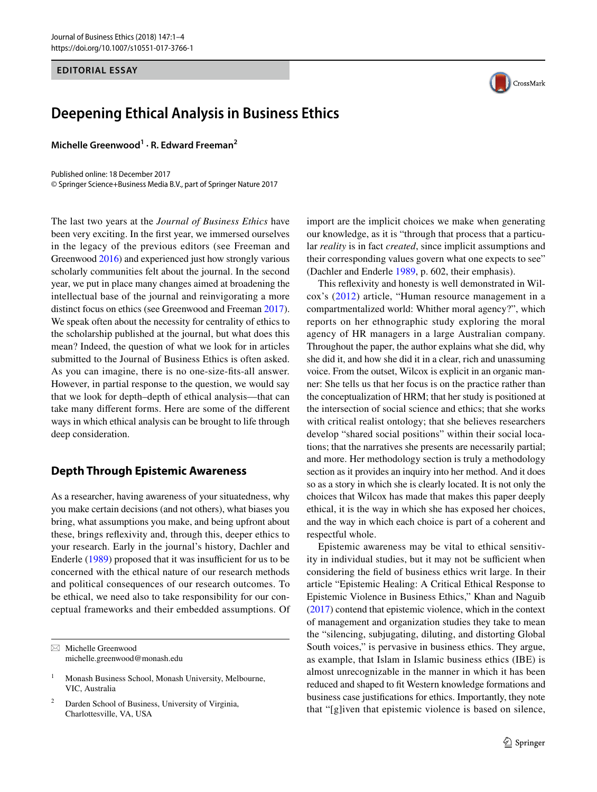#### **EDITORIAL ESSAY**



**Michelle Greenwood1 · R. Edward Freeman2**

Published online: 18 December 2017 © Springer Science+Business Media B.V., part of Springer Nature 2017

The last two years at the *Journal of Business Ethics* have been very exciting. In the frst year, we immersed ourselves in the legacy of the previous editors (see Freeman and Greenwood [2016\)](#page-3-0) and experienced just how strongly various scholarly communities felt about the journal. In the second year, we put in place many changes aimed at broadening the intellectual base of the journal and reinvigorating a more distinct focus on ethics (see Greenwood and Freeman [2017](#page-3-1)). We speak often about the necessity for centrality of ethics to the scholarship published at the journal, but what does this mean? Indeed, the question of what we look for in articles submitted to the Journal of Business Ethics is often asked. As you can imagine, there is no one-size-fts-all answer. However, in partial response to the question, we would say that we look for depth–depth of ethical analysis—that can take many diferent forms. Here are some of the diferent ways in which ethical analysis can be brought to life through deep consideration.

### **Depth Through Epistemic Awareness**

As a researcher, having awareness of your situatedness, why you make certain decisions (and not others), what biases you bring, what assumptions you make, and being upfront about these, brings refexivity and, through this, deeper ethics to your research. Early in the journal's history, Dachler and Enderle  $(1989)$  $(1989)$  proposed that it was insufficient for us to be concerned with the ethical nature of our research methods and political consequences of our research outcomes. To be ethical, we need also to take responsibility for our conceptual frameworks and their embedded assumptions. Of

 $\boxtimes$  Michelle Greenwood michelle.greenwood@monash.edu

Darden School of Business, University of Virginia, Charlottesville, VA, USA

import are the implicit choices we make when generating our knowledge, as it is "through that process that a particular *reality* is in fact *created*, since implicit assumptions and their corresponding values govern what one expects to see" (Dachler and Enderle [1989,](#page-3-2) p. 602, their emphasis).

This refexivity and honesty is well demonstrated in Wilcox's ([2012\)](#page-3-3) article, "Human resource management in a compartmentalized world: Whither moral agency?", which reports on her ethnographic study exploring the moral agency of HR managers in a large Australian company. Throughout the paper, the author explains what she did, why she did it, and how she did it in a clear, rich and unassuming voice. From the outset, Wilcox is explicit in an organic manner: She tells us that her focus is on the practice rather than the conceptualization of HRM; that her study is positioned at the intersection of social science and ethics; that she works with critical realist ontology; that she believes researchers develop "shared social positions" within their social locations; that the narratives she presents are necessarily partial; and more. Her methodology section is truly a methodology section as it provides an inquiry into her method. And it does so as a story in which she is clearly located. It is not only the choices that Wilcox has made that makes this paper deeply ethical, it is the way in which she has exposed her choices, and the way in which each choice is part of a coherent and respectful whole.

Epistemic awareness may be vital to ethical sensitivity in individual studies, but it may not be sufficient when considering the feld of business ethics writ large. In their article "Epistemic Healing: A Critical Ethical Response to Epistemic Violence in Business Ethics," Khan and Naguib [\(2017](#page-3-4)) contend that epistemic violence, which in the context of management and organization studies they take to mean the "silencing, subjugating, diluting, and distorting Global South voices," is pervasive in business ethics. They argue, as example, that Islam in Islamic business ethics (IBE) is almost unrecognizable in the manner in which it has been reduced and shaped to ft Western knowledge formations and business case justifcations for ethics. Importantly, they note that "[g]iven that epistemic violence is based on silence,



<sup>&</sup>lt;sup>1</sup> Monash Business School, Monash University, Melbourne, VIC, Australia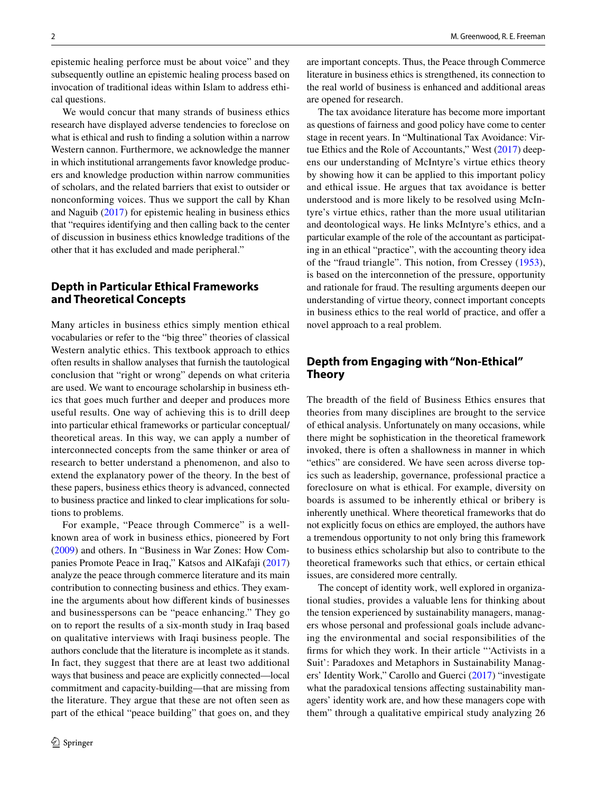epistemic healing perforce must be about voice" and they subsequently outline an epistemic healing process based on invocation of traditional ideas within Islam to address ethical questions.

We would concur that many strands of business ethics research have displayed adverse tendencies to foreclose on what is ethical and rush to fnding a solution within a narrow Western cannon. Furthermore, we acknowledge the manner in which institutional arrangements favor knowledge producers and knowledge production within narrow communities of scholars, and the related barriers that exist to outsider or nonconforming voices. Thus we support the call by Khan and Naguib ([2017](#page-3-4)) for epistemic healing in business ethics that "requires identifying and then calling back to the center of discussion in business ethics knowledge traditions of the other that it has excluded and made peripheral."

## **Depth in Particular Ethical Frameworks and Theoretical Concepts**

Many articles in business ethics simply mention ethical vocabularies or refer to the "big three" theories of classical Western analytic ethics. This textbook approach to ethics often results in shallow analyses that furnish the tautological conclusion that "right or wrong" depends on what criteria are used. We want to encourage scholarship in business ethics that goes much further and deeper and produces more useful results. One way of achieving this is to drill deep into particular ethical frameworks or particular conceptual/ theoretical areas. In this way, we can apply a number of interconnected concepts from the same thinker or area of research to better understand a phenomenon, and also to extend the explanatory power of the theory. In the best of these papers, business ethics theory is advanced, connected to business practice and linked to clear implications for solutions to problems.

For example, "Peace through Commerce" is a wellknown area of work in business ethics, pioneered by Fort [\(2009\)](#page-3-5) and others. In "Business in War Zones: How Companies Promote Peace in Iraq," Katsos and AlKafaji ([2017\)](#page-3-6) analyze the peace through commerce literature and its main contribution to connecting business and ethics. They examine the arguments about how diferent kinds of businesses and businesspersons can be "peace enhancing." They go on to report the results of a six-month study in Iraq based on qualitative interviews with Iraqi business people. The authors conclude that the literature is incomplete as it stands. In fact, they suggest that there are at least two additional ways that business and peace are explicitly connected—local commitment and capacity-building—that are missing from the literature. They argue that these are not often seen as part of the ethical "peace building" that goes on, and they are important concepts. Thus, the Peace through Commerce literature in business ethics is strengthened, its connection to the real world of business is enhanced and additional areas are opened for research.

The tax avoidance literature has become more important as questions of fairness and good policy have come to center stage in recent years. In "Multinational Tax Avoidance: Virtue Ethics and the Role of Accountants," West [\(2017](#page-3-7)) deepens our understanding of McIntyre's virtue ethics theory by showing how it can be applied to this important policy and ethical issue. He argues that tax avoidance is better understood and is more likely to be resolved using McIntyre's virtue ethics, rather than the more usual utilitarian and deontological ways. He links McIntyre's ethics, and a particular example of the role of the accountant as participating in an ethical "practice", with the accounting theory idea of the "fraud triangle". This notion, from Cressey ([1953](#page-3-8)), is based on the interconnetion of the pressure, opportunity and rationale for fraud. The resulting arguments deepen our understanding of virtue theory, connect important concepts in business ethics to the real world of practice, and offer a novel approach to a real problem.

# **Depth from Engaging with "Non‑Ethical" Theory**

The breadth of the feld of Business Ethics ensures that theories from many disciplines are brought to the service of ethical analysis. Unfortunately on many occasions, while there might be sophistication in the theoretical framework invoked, there is often a shallowness in manner in which "ethics" are considered. We have seen across diverse topics such as leadership, governance, professional practice a foreclosure on what is ethical. For example, diversity on boards is assumed to be inherently ethical or bribery is inherently unethical. Where theoretical frameworks that do not explicitly focus on ethics are employed, the authors have a tremendous opportunity to not only bring this framework to business ethics scholarship but also to contribute to the theoretical frameworks such that ethics, or certain ethical issues, are considered more centrally.

The concept of identity work, well explored in organizational studies, provides a valuable lens for thinking about the tension experienced by sustainability managers, managers whose personal and professional goals include advancing the environmental and social responsibilities of the frms for which they work. In their article "'Activists in a Suit': Paradoxes and Metaphors in Sustainability Managers' Identity Work," Carollo and Guerci ([2017](#page-3-9)) "investigate what the paradoxical tensions afecting sustainability managers' identity work are, and how these managers cope with them" through a qualitative empirical study analyzing 26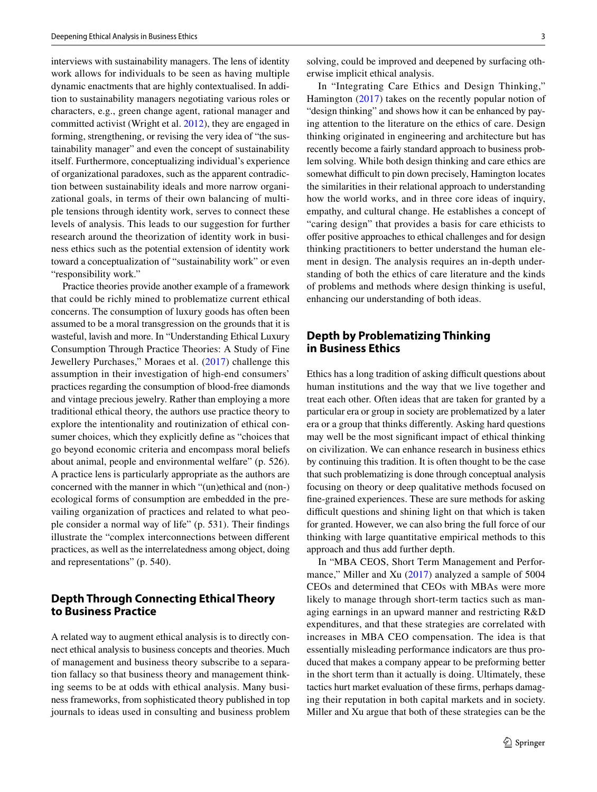interviews with sustainability managers. The lens of identity work allows for individuals to be seen as having multiple dynamic enactments that are highly contextualised. In addition to sustainability managers negotiating various roles or characters, e.g., green change agent, rational manager and committed activist (Wright et al. [2012\)](#page-3-10), they are engaged in forming, strengthening, or revising the very idea of "the sustainability manager" and even the concept of sustainability itself. Furthermore, conceptualizing individual's experience of organizational paradoxes, such as the apparent contradiction between sustainability ideals and more narrow organizational goals, in terms of their own balancing of multiple tensions through identity work, serves to connect these levels of analysis. This leads to our suggestion for further research around the theorization of identity work in business ethics such as the potential extension of identity work toward a conceptualization of "sustainability work" or even "responsibility work."

Practice theories provide another example of a framework that could be richly mined to problematize current ethical concerns. The consumption of luxury goods has often been assumed to be a moral transgression on the grounds that it is wasteful, lavish and more. In "Understanding Ethical Luxury Consumption Through Practice Theories: A Study of Fine Jewellery Purchases," Moraes et al. ([2017](#page-3-11)) challenge this assumption in their investigation of high-end consumers' practices regarding the consumption of blood-free diamonds and vintage precious jewelry. Rather than employing a more traditional ethical theory, the authors use practice theory to explore the intentionality and routinization of ethical consumer choices, which they explicitly defne as "choices that go beyond economic criteria and encompass moral beliefs about animal, people and environmental welfare" (p. 526). A practice lens is particularly appropriate as the authors are concerned with the manner in which "(un)ethical and (non-) ecological forms of consumption are embedded in the prevailing organization of practices and related to what people consider a normal way of life" (p. 531). Their fndings illustrate the "complex interconnections between diferent practices, as well as the interrelatedness among object, doing and representations" (p. 540).

# **Depth Through Connecting Ethical Theory to Business Practice**

A related way to augment ethical analysis is to directly connect ethical analysis to business concepts and theories. Much of management and business theory subscribe to a separation fallacy so that business theory and management thinking seems to be at odds with ethical analysis. Many business frameworks, from sophisticated theory published in top journals to ideas used in consulting and business problem solving, could be improved and deepened by surfacing otherwise implicit ethical analysis.

In "Integrating Care Ethics and Design Thinking," Hamington [\(2017\)](#page-3-12) takes on the recently popular notion of "design thinking" and shows how it can be enhanced by paying attention to the literature on the ethics of care. Design thinking originated in engineering and architecture but has recently become a fairly standard approach to business problem solving. While both design thinking and care ethics are somewhat difficult to pin down precisely, Hamington locates the similarities in their relational approach to understanding how the world works, and in three core ideas of inquiry, empathy, and cultural change. He establishes a concept of "caring design" that provides a basis for care ethicists to ofer positive approaches to ethical challenges and for design thinking practitioners to better understand the human element in design. The analysis requires an in-depth understanding of both the ethics of care literature and the kinds of problems and methods where design thinking is useful, enhancing our understanding of both ideas.

## **Depth by Problematizing Thinking in Business Ethics**

Ethics has a long tradition of asking difficult questions about human institutions and the way that we live together and treat each other. Often ideas that are taken for granted by a particular era or group in society are problematized by a later era or a group that thinks diferently. Asking hard questions may well be the most signifcant impact of ethical thinking on civilization. We can enhance research in business ethics by continuing this tradition. It is often thought to be the case that such problematizing is done through conceptual analysis focusing on theory or deep qualitative methods focused on fne-grained experiences. These are sure methods for asking difficult questions and shining light on that which is taken for granted. However, we can also bring the full force of our thinking with large quantitative empirical methods to this approach and thus add further depth.

In "MBA CEOS, Short Term Management and Perfor-mance," Miller and Xu [\(2017\)](#page-3-13) analyzed a sample of 5004 CEOs and determined that CEOs with MBAs were more likely to manage through short-term tactics such as managing earnings in an upward manner and restricting R&D expenditures, and that these strategies are correlated with increases in MBA CEO compensation. The idea is that essentially misleading performance indicators are thus produced that makes a company appear to be preforming better in the short term than it actually is doing. Ultimately, these tactics hurt market evaluation of these frms, perhaps damaging their reputation in both capital markets and in society. Miller and Xu argue that both of these strategies can be the